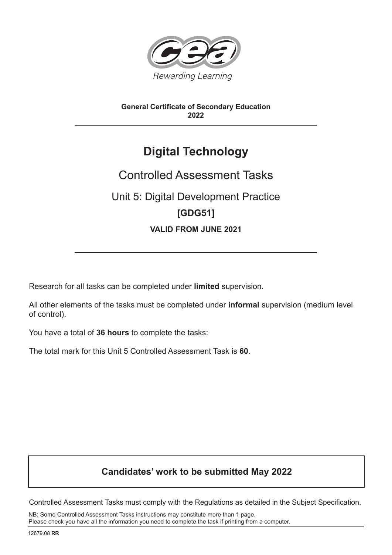

# **General Certificate of Secondary Education 2022**

# **Digital Technology**

# Controlled Assessment Tasks Unit 5: Digital Development Practice **[GDG51] VALID FROM JUNE 2021**

Research for all tasks can be completed under **limited** supervision.

All other elements of the tasks must be completed under **informal** supervision (medium level of control).

You have a total of **36 hours** to complete the tasks:

The total mark for this Unit 5 Controlled Assessment Task is **60**.

# **Candidates' work to be submitted May 2022**

Controlled Assessment Tasks must comply with the Regulations as detailed in the Subject Specification.

NB: Some Controlled Assessment Tasks instructions may constitute more than 1 page. Please check you have all the information you need to complete the task if printing from a computer.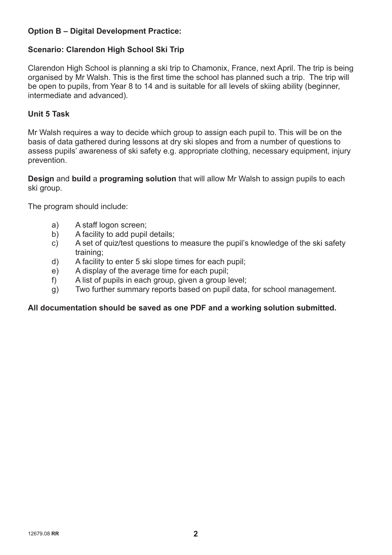# **Option B – Digital Development Practice:**

### **Scenario: Clarendon High School Ski Trip**

Clarendon High School is planning a ski trip to Chamonix, France, next April. The trip is being organised by Mr Walsh. This is the first time the school has planned such a trip. The trip will be open to pupils, from Year 8 to 14 and is suitable for all levels of skiing ability (beginner, intermediate and advanced).

#### **Unit 5 Task**

Mr Walsh requires a way to decide which group to assign each pupil to. This will be on the basis of data gathered during lessons at dry ski slopes and from a number of questions to assess pupils' awareness of ski safety e.g. appropriate clothing, necessary equipment, injury prevention.

**Design** and **build** a **programing solution** that will allow Mr Walsh to assign pupils to each ski group.

The program should include:

- a) A staff logon screen;
- b) A facility to add pupil details;
- c) A set of quiz/test questions to measure the pupil's knowledge of the ski safety training;
- d) A facility to enter 5 ski slope times for each pupil;
- e) A display of the average time for each pupil;
- f) A list of pupils in each group, given a group level;
- g) Two further summary reports based on pupil data, for school management.

#### **All documentation should be saved as one PDF and a working solution submitted.**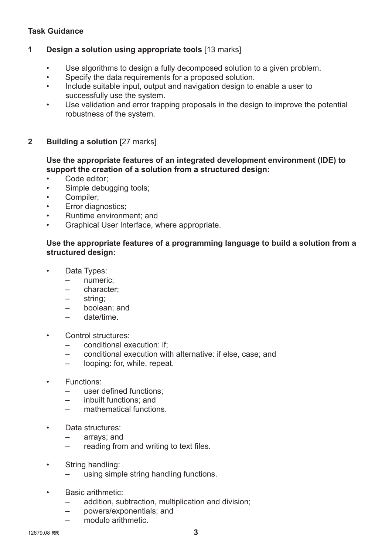## **Task Guidance**

### **1 Design a solution using appropriate tools** [13 marks]

- Use algorithms to design a fully decomposed solution to a given problem.
- Specify the data requirements for a proposed solution.
- Include suitable input, output and navigation design to enable a user to successfully use the system.
- Use validation and error trapping proposals in the design to improve the potential robustness of the system.

### **2 Building a solution** [27 marks]

#### **Use the appropriate features of an integrated development environment (IDE) to support the creation of a solution from a structured design:**

- Code editor;
- Simple debugging tools;
- Compiler;
- Error diagnostics;
- Runtime environment; and
- Graphical User Interface, where appropriate.

#### **Use the appropriate features of a programming language to build a solution from a structured design:**

- Data Types:
	- numeric;
	- character;
	- string;
	- boolean; and
	- date/time.
- Control structures:
	- conditional execution: if;
	- conditional execution with alternative: if else, case; and
	- looping: for, while, repeat.
- Functions:
	- user defined functions;
	- inbuilt functions; and
	- mathematical functions.
- Data structures:
	- arrays; and
	- $-$  reading from and writing to text files.
- String handling:
	- using simple string handling functions.
- Basic arithmetic:
	- addition, subtraction, multiplication and division;
	- powers/exponentials; and
	- modulo arithmetic.